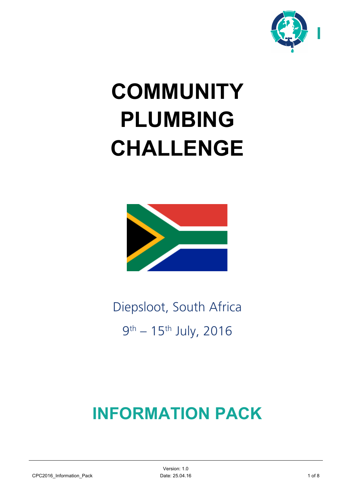

# **COMMUNITY PLUMBING CHALLENGE**



Diepsloot, South Africa 9th – 15th July, 2016

## **INFORMATION PACK**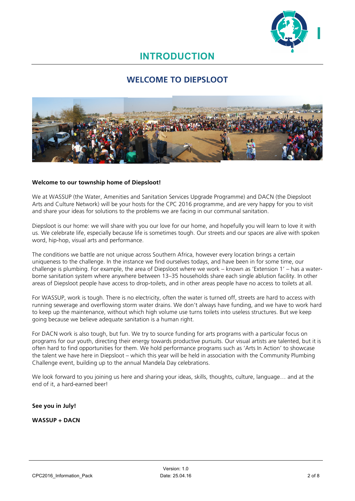

### **INTRODUCTION**

### **WELCOME TO DIEPSLOOT**



#### **Welcome to our township home of Diepsloot!**

We at WASSUP (the Water, Amenities and Sanitation Services Upgrade Programme) and DACN (the Diepsloot Arts and Culture Network) will be your hosts for the CPC 2016 programme, and are very happy for you to visit and share your ideas for solutions to the problems we are facing in our communal sanitation.

Diepsloot is our home: we will share with you our love for our home, and hopefully you will learn to love it with us. We celebrate life, especially because life is sometimes tough. Our streets and our spaces are alive with spoken word, hip-hop, visual arts and performance.

The conditions we battle are not unique across Southern Africa, however every location brings a certain uniqueness to the challenge. In the instance we find ourselves todays, and have been in for some time, our challenge is plumbing. For example, the area of Diepsloot where we work – known as 'Extension 1' – has a waterborne sanitation system where anywhere between 13–35 households share each single ablution facility. In other areas of Diepsloot people have access to drop-toilets, and in other areas people have no access to toilets at all.

For WASSUP, work is tough. There is no electricity, often the water is turned off, streets are hard to access with running sewerage and overflowing storm water drains. We don't always have funding, and we have to work hard to keep up the maintenance, without which high volume use turns toilets into useless structures. But we keep going because we believe adequate sanitation is a human right.

For DACN work is also tough, but fun. We try to source funding for arts programs with a particular focus on programs for our youth, directing their energy towards productive pursuits. Our visual artists are talented, but it is often hard to find opportunities for them. We hold performance programs such as 'Arts In Action' to showcase the talent we have here in Diepsloot – which this year will be held in association with the Community Plumbing Challenge event, building up to the annual Mandela Day celebrations.

We look forward to you joining us here and sharing your ideas, skills, thoughts, culture, language… and at the end of it, a hard-earned beer!

#### **See you in July!**

#### **WASSUP + DACN**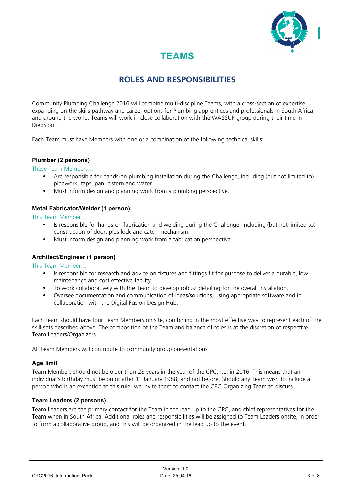

### **TEAMS**

### **ROLES AND RESPONSIBILITIES**

Community Plumbing Challenge 2016 will combine multi-discipline Teams, with a cross-section of expertise expanding on the skills pathway and career options for Plumbing apprentices and professionals in South Africa, and around the world. Teams will work in close collaboration with the WASSUP group during their time in Diepsloot.

Each Team must have Members with one or a combination of the following technical skills:

#### **Plumber (2 persons)**

These Team Members…

- Are responsible for hands-on plumbing installation during the Challenge, including (but not limited to) pipework, taps, pan, cistern and water.
- Must inform design and planning work from a plumbing perspective.

#### **Metal Fabricator/Welder (1 person)**

This Team Member…

- Is responsible for hands-on fabrication and welding during the Challenge, including (but not limited to) construction of door, plus lock and catch mechanism.
- Must inform design and planning work from a fabrication perspective.

#### **Architect/Engineer (1 person)**

This Team Member…

- Is responsible for research and advice on fixtures and fittings fit for purpose to deliver a durable, low maintenance and cost effective facility.
- To work collaboratively with the Team to develop robust detailing for the overall installation.
- Oversee documentation and communication of ideas/solutions, using appropriate software and in collaboration with the Digital Fusion Design Hub.

Each team should have four Team Members on site, combining in the most effective way to represent each of the skill sets described above. The composition of the Team and balance of roles is at the discretion of respective Team Leaders/Organizers.

All Team Members will contribute to community group presentations

#### **Age limit**

Team Members should not be older than 28 years in the year of the CPC, i.e. in 2016. This means that an individual's birthday must be on or after 1<sup>st</sup> January 1988, and not before. Should any Team wish to include a person who is an exception to this rule, we invite them to contact the CPC Organizing Team to discuss.

#### **Team Leaders (2 persons)**

Team Leaders are the primary contact for the Team in the lead up to the CPC, and chief representatives for the Team when in South Africa. Additional roles and responsibilities will be assigned to Team Leaders onsite, in order to form a collaborative group, and this will be organized in the lead up to the event.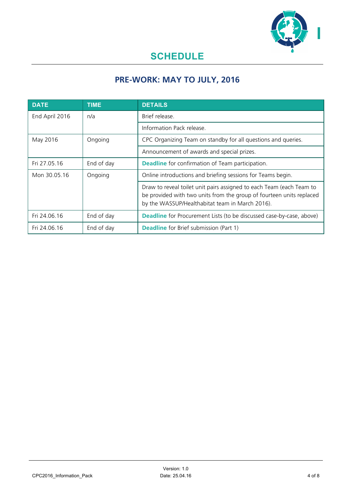

### **SCHEDULE**

### **PRE-WORK: MAY TO JULY, 2016**

| <b>DATE</b>    | <b>TIME</b> | <b>DETAILS</b>                                                                                                                                                                                  |
|----------------|-------------|-------------------------------------------------------------------------------------------------------------------------------------------------------------------------------------------------|
| End April 2016 | n/a         | Brief release.                                                                                                                                                                                  |
|                |             | Information Pack release.                                                                                                                                                                       |
| May 2016       | Ongoing     | CPC Organizing Team on standby for all questions and queries.                                                                                                                                   |
|                |             | Announcement of awards and special prizes.                                                                                                                                                      |
| Fri 27.05.16   | End of day  | <b>Deadline</b> for confirmation of Team participation.                                                                                                                                         |
| Mon 30.05.16   | Ongoing     | Online introductions and briefing sessions for Teams begin.                                                                                                                                     |
|                |             | Draw to reveal toilet unit pairs assigned to each Team (each Team to<br>be provided with two units from the group of fourteen units replaced<br>by the WASSUP/Healthabitat team in March 2016). |
| Fri 24.06.16   | End of day  | Deadline for Procurement Lists (to be discussed case-by-case, above)                                                                                                                            |
| Fri 24.06.16   | End of day  | <b>Deadline</b> for Brief submission (Part 1)                                                                                                                                                   |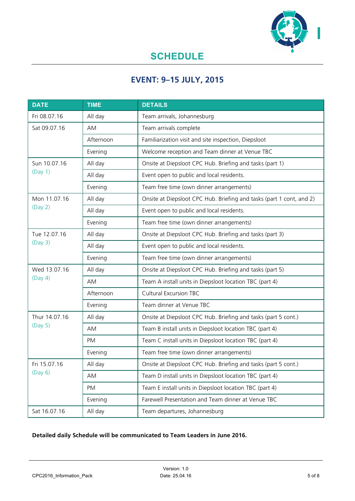

### **SCHEDULE**

### **EVENT: 9–15 JULY, 2015**

| <b>DATE</b>              | <b>TIME</b> | <b>DETAILS</b>                                                       |
|--------------------------|-------------|----------------------------------------------------------------------|
| Fri 08.07.16             | All day     | Team arrivals, Johannesburg                                          |
| Sat 09.07.16             | AM          | Team arrivals complete                                               |
|                          | Afternoon   | Familiarization visit and site inspection, Diepsloot                 |
|                          | Evening     | Welcome reception and Team dinner at Venue TBC                       |
| Sun 10.07.16<br>(Day 1)  | All day     | Onsite at Diepsloot CPC Hub. Briefing and tasks (part 1)             |
|                          | All day     | Event open to public and local residents.                            |
|                          | Evening     | Team free time (own dinner arrangements)                             |
| Mon 11.07.16<br>(Day 2)  | All day     | Onsite at Diepsloot CPC Hub. Briefing and tasks (part 1 cont, and 2) |
|                          | All day     | Event open to public and local residents.                            |
|                          | Evening     | Team free time (own dinner arrangements)                             |
| Tue 12.07.16<br>(Day 3)  | All day     | Onsite at Diepsloot CPC Hub. Briefing and tasks (part 3)             |
|                          | All day     | Event open to public and local residents.                            |
|                          | Evening     | Team free time (own dinner arrangements)                             |
| Wed 13.07.16<br>(Day 4)  | All day     | Onsite at Diepsloot CPC Hub. Briefing and tasks (part 5)             |
|                          | AM          | Team A install units in Diepsloot location TBC (part 4)              |
|                          | Afternoon   | <b>Cultural Excursion TBC</b>                                        |
|                          | Evening     | Team dinner at Venue TBC                                             |
| Thur 14.07.16<br>(Day 5) | All day     | Onsite at Diepsloot CPC Hub. Briefing and tasks (part 5 cont.)       |
|                          | AM          | Team B install units in Diepsloot location TBC (part 4)              |
|                          | <b>PM</b>   | Team C install units in Diepsloot location TBC (part 4)              |
|                          | Evening     | Team free time (own dinner arrangements)                             |
| Fri 15.07.16<br>(Day 6)  | All day     | Onsite at Diepsloot CPC Hub. Briefing and tasks (part 5 cont.)       |
|                          | AM          | Team D install units in Diepsloot location TBC (part 4)              |
|                          | PM          | Team E install units in Diepsloot location TBC (part 4)              |
|                          | Evening     | Farewell Presentation and Team dinner at Venue TBC                   |
| Sat 16.07.16             | All day     | Team departures, Johannesburg                                        |

### **Detailed daily Schedule will be communicated to Team Leaders in June 2016.**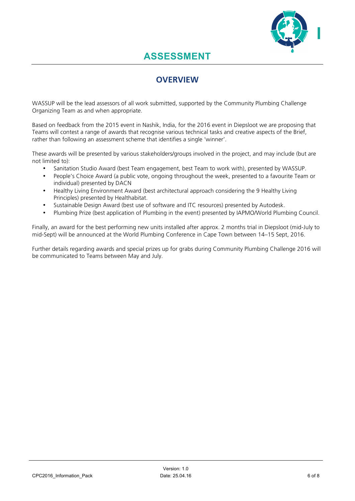

### **ASSESSMENT**

### **OVERVIEW**

WASSUP will be the lead assessors of all work submitted, supported by the Community Plumbing Challenge Organizing Team as and when appropriate.

Based on feedback from the 2015 event in Nashik, India, for the 2016 event in Diepsloot we are proposing that Teams will contest a range of awards that recognise various technical tasks and creative aspects of the Brief, rather than following an assessment scheme that identifies a single 'winner'.

These awards will be presented by various stakeholders/groups involved in the project, and may include (but are not limited to):

- Sanitation Studio Award (best Team engagement, best Team to work with), presented by WASSUP.
- People's Choice Award (a public vote, ongoing throughout the week, presented to a favourite Team or individual) presented by DACN
- Healthy Living Environment Award (best architectural approach considering the 9 Healthy Living Principles) presented by Healthabitat.
- Sustainable Design Award (best use of software and ITC resources) presented by Autodesk.
- Plumbing Prize (best application of Plumbing in the event) presented by IAPMO/World Plumbing Council.

Finally, an award for the best performing new units installed after approx. 2 months trial in Diepsloot (mid-July to mid-Sept) will be announced at the World Plumbing Conference in Cape Town between 14–15 Sept, 2016.

Further details regarding awards and special prizes up for grabs during Community Plumbing Challenge 2016 will be communicated to Teams between May and July.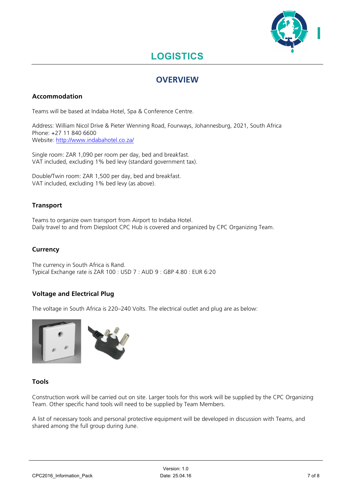

### **LOGISTICS**

### **OVERVIEW**

### **Accommodation**

Teams will be based at Indaba Hotel, Spa & Conference Centre.

Address: William Nicol Drive & Pieter Wenning Road, Fourways, Johannesburg, 2021, South Africa Phone: +27 11 840 6600 Website: http://www.indabahotel.co.za/

Single room: ZAR 1,090 per room per day, bed and breakfast. VAT included, excluding 1% bed levy (standard government tax).

Double/Twin room: ZAR 1,500 per day, bed and breakfast. VAT included, excluding 1% bed levy (as above).

### **Transport**

Teams to organize own transport from Airport to Indaba Hotel. Daily travel to and from Diepsloot CPC Hub is covered and organized by CPC Organizing Team.

### **Currency**

The currency in South Africa is Rand. Typical Exchange rate is ZAR 100 : USD 7 : AUD 9 : GBP 4.80 : EUR 6:20

### **Voltage and Electrical Plug**

The voltage in South Africa is 220–240 Volts. The electrical outlet and plug are as below:



### **Tools**

Construction work will be carried out on site. Larger tools for this work will be supplied by the CPC Organizing Team. Other specific hand tools will need to be supplied by Team Members.

A list of necessary tools and personal protective equipment will be developed in discussion with Teams, and shared among the full group during June.